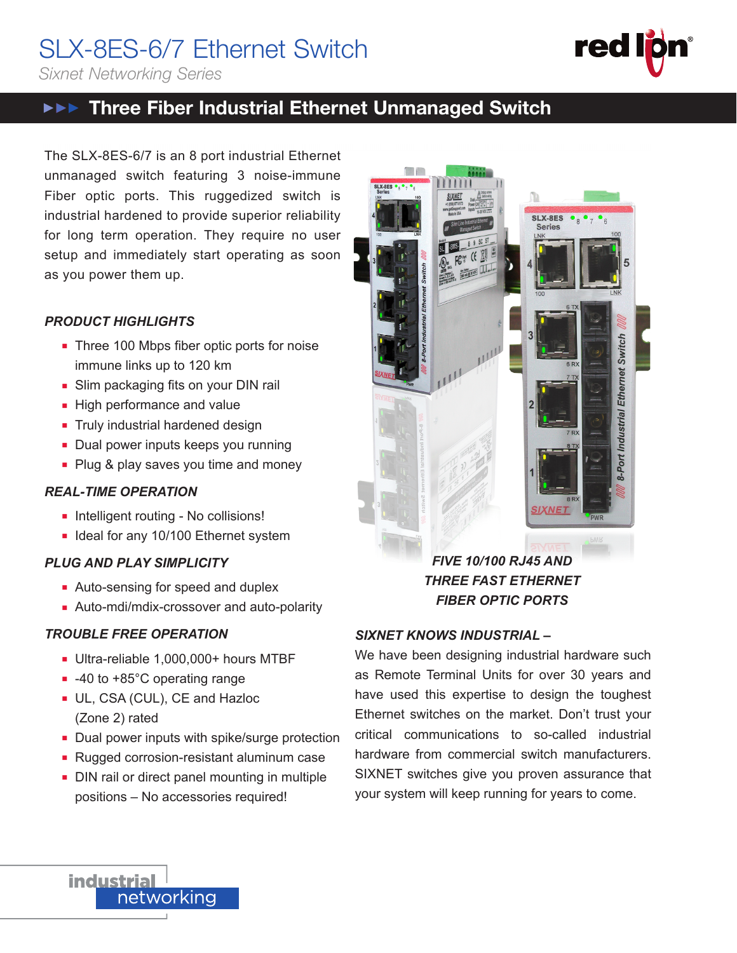# SLX-8ES-6/7 Ethernet Switch

*Sixnet Networking Series*

# **▶▶▶ Three Fiber Industrial Ethernet Unmanaged Switch**

The SLX-8ES-6/7 is an 8 port industrial Ethernet unmanaged switch featuring 3 noise-immune Fiber optic ports. This ruggedized switch is industrial hardened to provide superior reliability for long term operation. They require no user setup and immediately start operating as soon as you power them up.

### *PRODUCT HIGHLIGHTS*

- Three 100 Mbps fiber optic ports for noise immune links up to 120 km
- Slim packaging fits on your DIN rail
- High performance and value
- **n** Truly industrial hardened design
- Dual power inputs keeps you running
- Plug & play saves you time and money

## *REAL-TIME OPERATION*

- **n** Intelligent routing No collisions!
- **n** Ideal for any 10/100 Ethernet system

## *PLUG AND PLAY SIMPLICITY*

- Auto-sensing for speed and duplex
- **Auto-mdi/mdix-crossover and auto-polarity**

# *TROUBLE FREE OPERATION*

- Ultra-reliable 1,000,000+ hours MTBF
- -40 to +85°C operating range
- **UL, CSA (CUL), CE and Hazloc** (Zone 2) rated
- Dual power inputs with spike/surge protection
- Rugged corrosion-resistant aluminum case
- DIN rail or direct panel mounting in multiple positions – No accessories required!



SLX-8ES-6/7 **red** 

*FIVE 10/100 RJ45 AND THREE FAST ETHERNET FIBER OPTIC PORTS*

# *SIXNET KNOWS INDUSTRIAL –*

We have been designing industrial hardware such as Remote Terminal Units for over 30 years and have used this expertise to design the toughest Ethernet switches on the market. Don't trust your critical communications to so-called industrial hardware from commercial switch manufacturers. SIXNET switches give you proven assurance that your system will keep running for years to come.